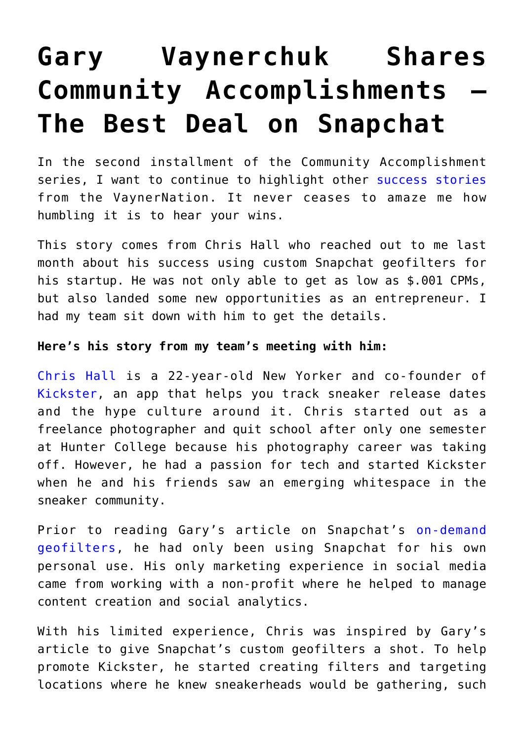## **[Gary Vaynerchuk Shares](https://www.commpro.biz/gary-vaynerchuk-on-the-value-of-instagram-story-takeovers/) [Community Accomplishments –](https://www.commpro.biz/gary-vaynerchuk-on-the-value-of-instagram-story-takeovers/) [The Best Deal on Snapchat](https://www.commpro.biz/gary-vaynerchuk-on-the-value-of-instagram-story-takeovers/)**

In the second installment of the Community Accomplishment series, I want to continue to highlight other [success stories](https://www.garyvaynerchuk.com/using-only-snapchat-to-sell-real-estate/) from the VaynerNation. It never ceases to amaze me how humbling it is to hear your wins.

This story comes from Chris Hall who reached out to me last month about his success using custom Snapchat geofilters for his startup. He was not only able to get as low as \$.001 CPMs, but also landed some new opportunities as an entrepreneur. I had my team sit down with him to get the details.

## **Here's his story from my team's meeting with him:**

[Chris Hall](https://twitter.com/chrishallnyc) is a 22-year-old New Yorker and co-founder of [Kickster,](https://itunes.apple.com/us/app/kickster-sneaker-release-dates/id969638002?mt=8) an app that helps you track sneaker release dates and the hype culture around it. Chris started out as a freelance photographer and quit school after only one semester at Hunter College because his photography career was taking off. However, he had a passion for tech and started Kickster when he and his friends saw an emerging whitespace in the sneaker community.

Prior to reading Gary's article on Snapchat's [on-demand](https://www.garyvaynerchuk.com/how-to-create-and-use-snapchats-new-custom-geofilters/) [geofilters](https://www.garyvaynerchuk.com/how-to-create-and-use-snapchats-new-custom-geofilters/), he had only been using Snapchat for his own personal use. His only marketing experience in social media came from working with a non-profit where he helped to manage content creation and social analytics.

With his limited experience, Chris was inspired by Gary's article to give Snapchat's custom geofilters a shot. To help promote Kickster, he started creating filters and targeting locations where he knew sneakerheads would be gathering, such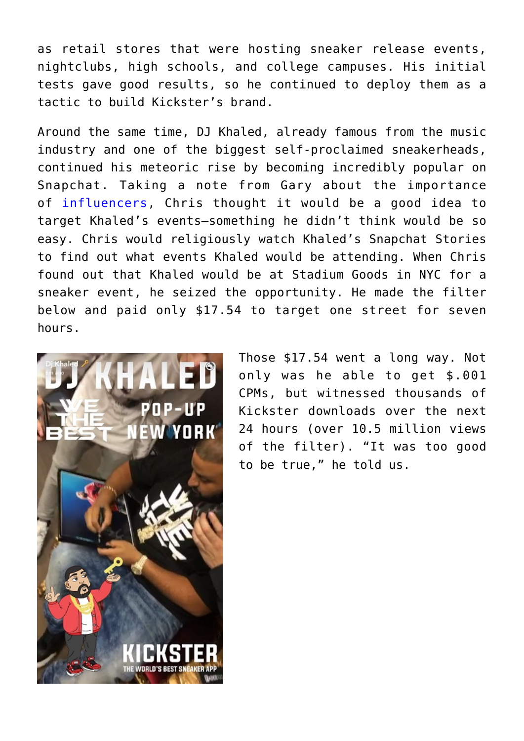as retail stores that were hosting sneaker release events, nightclubs, high schools, and college campuses. His initial tests gave good results, so he continued to deploy them as a tactic to build Kickster's brand.

Around the same time, DJ Khaled, already famous from the music industry and one of the biggest self-proclaimed sneakerheads, continued his meteoric rise by becoming incredibly popular on Snapchat. Taking a note from Gary about the importance of [influencers](https://www.garyvaynerchuk.com/evaluating-the-cost-of-using-an-influencer-in-3-steps/), Chris thought it would be a good idea to target Khaled's events–something he didn't think would be so easy. Chris would religiously watch Khaled's Snapchat Stories to find out what events Khaled would be attending. When Chris found out that Khaled would be at Stadium Goods in NYC for a sneaker event, he seized the opportunity. He made the filter below and paid only \$17.54 to target one street for seven hours.



Those \$17.54 went a long way. Not only was he able to get \$.001 CPMs, but witnessed thousands of Kickster downloads over the next 24 hours (over 10.5 million views of the filter). "It was too good to be true," he told us.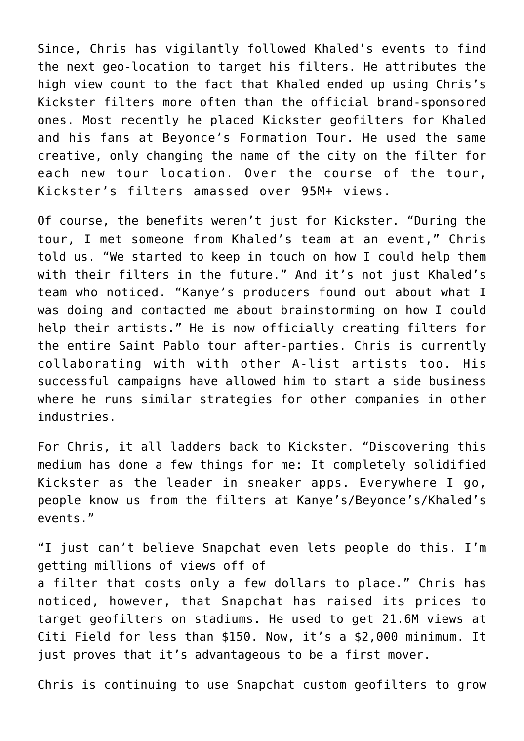Since, Chris has vigilantly followed Khaled's events to find the next geo-location to target his filters. He attributes the high view count to the fact that Khaled ended up using Chris's Kickster filters more often than the official brand-sponsored ones. Most recently he placed Kickster geofilters for Khaled and his fans at Beyonce's Formation Tour. He used the same creative, only changing the name of the city on the filter for each new tour location. Over the course of the tour, Kickster's filters amassed over 95M+ views.

Of course, the benefits weren't just for Kickster. "During the tour, I met someone from Khaled's team at an event," Chris told us. "We started to keep in touch on how I could help them with their filters in the future." And it's not just Khaled's team who noticed. "Kanye's producers found out about what I was doing and contacted me about brainstorming on how I could help their artists." He is now officially creating filters for the entire Saint Pablo tour after-parties. Chris is currently collaborating with with other A-list artists too. His successful campaigns have allowed him to start a side business where he runs similar strategies for other companies in other industries.

For Chris, it all ladders back to Kickster. "Discovering this medium has done a few things for me: It completely solidified Kickster as the leader in sneaker apps. Everywhere I go, people know us from the filters at Kanye's/Beyonce's/Khaled's events."

"I just can't believe Snapchat even lets people do this. I'm getting millions of views off of a filter that costs only a few dollars to place." Chris has noticed, however, that Snapchat has raised its prices to target geofilters on stadiums. He used to get 21.6M views at Citi Field for less than \$150. Now, it's a \$2,000 minimum. It just proves that it's advantageous to be a first mover.

Chris is continuing to use Snapchat custom geofilters to grow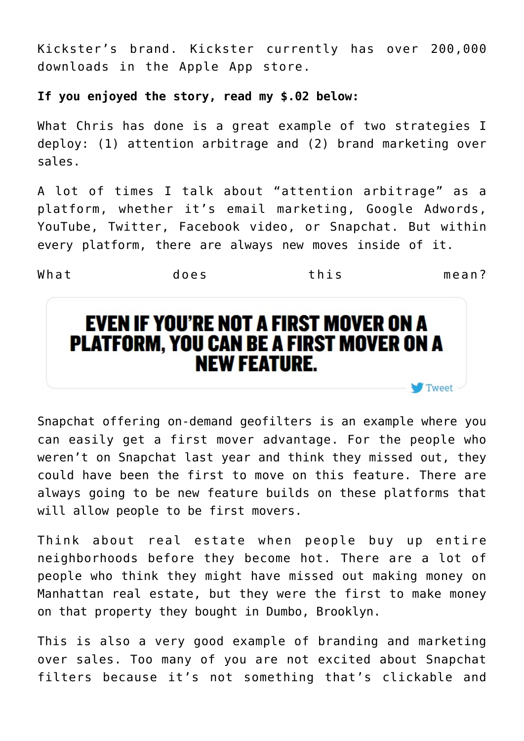Kickster's brand. Kickster currently has over 200,000 downloads in the Apple App store.

## **If you enjoyed the story, read my \$.02 below:**

What Chris has done is a great example of two strategies I deploy: (1) attention arbitrage and (2) brand marketing over sales.

A lot of times I talk about "attention arbitrage" as a platform, whether it's email marketing, Google Adwords, YouTube, Twitter, Facebook video, or Snapchat. But within every platform, there are always new moves inside of it.

What does this mean?

 $\blacksquare$  Tweet  $\lightharpoonup$ 

## **EVEN IF YOU'RE NOT A FIRST MOVER ON A PLATFORM, YOU CAN BE A FIRST MOVER ON A NEW FEATURE.**

Snapchat offering on-demand geofilters is an example where you can easily get a first mover advantage. For the people who weren't on Snapchat last year and think they missed out, they could have been the first to move on this feature. There are always going to be new feature builds on these platforms that will allow people to be first movers.

Think about real estate when people buy up entire neighborhoods before they become hot. There are a lot of people who think they might have missed out making money on Manhattan real estate, but they were the first to make money on that property they bought in Dumbo, Brooklyn.

This is also a very good example of branding and marketing over sales. Too many of you are not excited about Snapchat filters because it's not something that's clickable and